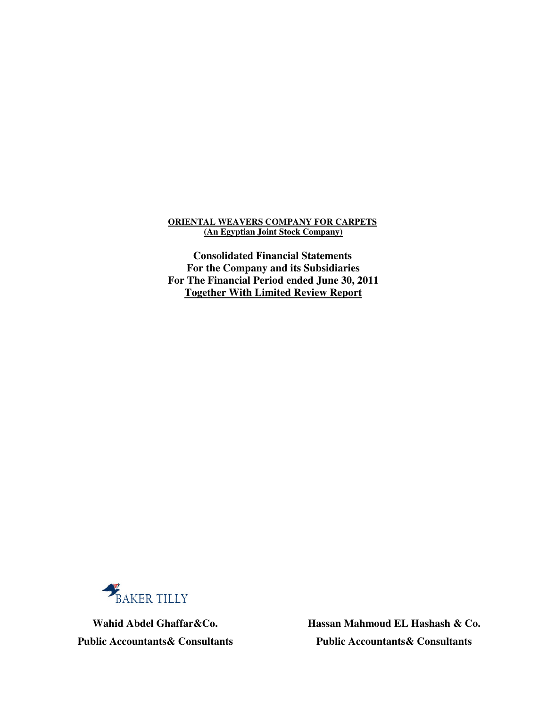### **ORIENTAL WEAVERS COMPANY FOR CARPETS (An Egyptian Joint Stock Company)**

**Consolidated Financial Statements For the Company and its Subsidiaries For The Financial Period ended June 30, 2011 Together With Limited Review Report**



 **Hassan Mahmoud EL Hashash & Co. Wahid Abdel Ghaffar&Co. Public Accountants& Consultants Public Accountants& Consultants**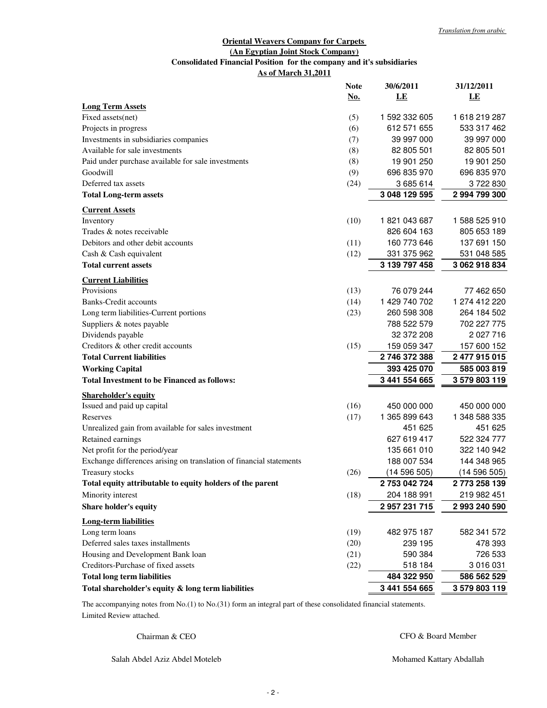### **Oriental Weavers Company for Carpets (An Egyptian Joint Stock Company) As of March 31,2011 Consolidated Financial Position for the company and it's subsidiaries**

|                                                                     | <b>Note</b> | 30/6/2011     | 31/12/2011    |
|---------------------------------------------------------------------|-------------|---------------|---------------|
|                                                                     | <u>No.</u>  | LE            | LE            |
| <b>Long Term Assets</b>                                             |             | 1 592 332 605 | 1618219287    |
| Fixed assets(net)                                                   | (5)         | 612 571 655   | 533 317 462   |
| Projects in progress                                                | (6)         |               |               |
| Investments in subsidiaries companies                               | (7)         | 39 997 000    | 39 997 000    |
| Available for sale investments                                      | (8)         | 82 805 501    | 82 805 501    |
| Paid under purchase available for sale investments                  | (8)         | 19 901 250    | 19 901 250    |
| Goodwill                                                            | (9)         | 696 835 970   | 696 835 970   |
| Deferred tax assets                                                 | (24)        | 3685614       | 3722830       |
| <b>Total Long-term assets</b>                                       |             | 3 048 129 595 | 2 994 799 300 |
| <b>Current Assets</b>                                               |             |               |               |
| Inventory                                                           | (10)        | 1821043687    | 1 588 525 910 |
| Trades & notes receivable                                           |             | 826 604 163   | 805 653 189   |
| Debitors and other debit accounts                                   | (11)        | 160 773 646   | 137 691 150   |
| Cash & Cash equivalent                                              | (12)        | 331 375 962   | 531 048 585   |
| <b>Total current assets</b>                                         |             | 3 139 797 458 | 3 062 918 834 |
| <b>Current Liabilities</b>                                          |             |               |               |
| Provisions                                                          | (13)        | 76 079 244    | 77 462 650    |
| <b>Banks-Credit accounts</b>                                        | (14)        | 1 429 740 702 | 1 274 412 220 |
| Long term liabilities-Current portions                              | (23)        | 260 598 308   | 264 184 502   |
| Suppliers & notes payable                                           |             | 788 522 579   | 702 227 775   |
| Dividends payable                                                   |             | 32 372 208    | 2 027 716     |
| Creditors & other credit accounts                                   | (15)        | 159 059 347   | 157 600 152   |
| <b>Total Current liabilities</b>                                    |             | 2746372388    | 2 477 915 015 |
| <b>Working Capital</b>                                              |             | 393 425 070   | 585 003 819   |
| <b>Total Investment to be Financed as follows:</b>                  |             | 3 441 554 665 | 3 579 803 119 |
| <b>Shareholder's equity</b>                                         |             |               |               |
| Issued and paid up capital                                          | (16)        | 450 000 000   | 450 000 000   |
| Reserves                                                            | (17)        | 1 365 899 643 | 1 348 588 335 |
| Unrealized gain from available for sales investment                 |             | 451 625       | 451 625       |
| Retained earnings                                                   |             | 627 619 417   | 522 324 777   |
| Net profit for the period/year                                      |             | 135 661 010   | 322 140 942   |
| Exchange differences arising on translation of financial statements |             | 188 007 534   | 144 348 965   |
| Treasury stocks                                                     | (26)        | (14596505)    | (14596505)    |
| Total equity attributable to equity holders of the parent           |             | 2753042724    | 2773 258 139  |
| Minority interest                                                   | (18)        | 204 188 991   | 219 982 451   |
| <b>Share holder's equity</b>                                        |             | 2 957 231 715 | 2 993 240 590 |
|                                                                     |             |               |               |
| <b>Long-term liabilities</b><br>Long term loans                     | (19)        | 482 975 187   | 582 341 572   |
| Deferred sales taxes installments                                   | (20)        | 239 195       | 478 393       |
| Housing and Development Bank loan                                   | (21)        | 590 384       | 726 533       |
| Creditors-Purchase of fixed assets                                  | (22)        | 518 184       | 3 016 031     |
| <b>Total long term liabilities</b>                                  |             | 484 322 950   | 586 562 529   |
| Total shareholder's equity & long term liabilities                  |             | 3 441 554 665 | 3 579 803 119 |
|                                                                     |             |               |               |

Limited Review attached. The accompanying notes from No.(1) to No.(31) form an integral part of these consolidated financial statements.

Chairman & CEO

CFO & Board Member

Salah Abdel Aziz Abdel Moteleb

Mohamed Kattary Abdallah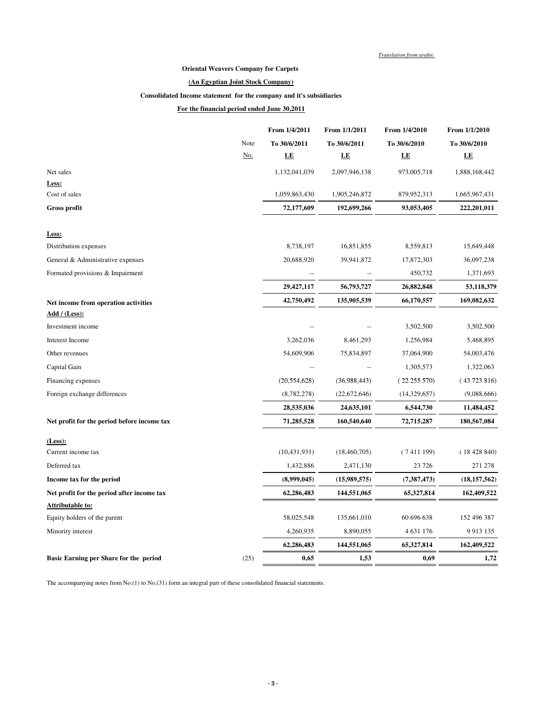*Translation from arabic*

#### **Oriental Weavers Company for Carpets**

#### **(An Egyptian Joint Stock Company)**

#### **Consolidated Income statement for the company and it's subsidiaries**

#### **For the financial period ended June 30,2011**

|                                             |            | From 1/4/2011  | From 1/1/2011    | From 1/4/2010 | From 1/1/2010  |
|---------------------------------------------|------------|----------------|------------------|---------------|----------------|
|                                             | Note       | To 30/6/2011   | To 30/6/2011     | To 30/6/2010  | To 30/6/2010   |
|                                             | <u>No.</u> | LE             | $L\underline{E}$ | LE            | LE             |
| Net sales                                   |            | 1,132,041,039  | 2,097,946,138    | 973,005,718   | 1,888,168,442  |
| Less:                                       |            |                |                  |               |                |
| Cost of sales                               |            | 1,059,863,430  | 1,905,246,872    | 879,952,313   | 1,665,967,431  |
| <b>Gross profit</b>                         |            | 72,177,609     | 192,699,266      | 93,053,405    | 222,201,011    |
| Less:                                       |            |                |                  |               |                |
| Distribution expenses                       |            | 8,738,197      | 16,851,855       | 8,559,813     | 15,649,448     |
| General & Administrative expenses           |            | 20,688,920     | 39,941,872       | 17,872,303    | 36,097,238     |
| Formated provisions & Impairment            |            |                |                  | 450,732       | 1,371,693      |
|                                             |            | 29,427,117     | 56,793,727       | 26,882,848    | 53,118,379     |
| Net income from operation activities        |            | 42,750,492     | 135,905,539      | 66,170,557    | 169,082,632    |
| Add $/$ (Less):                             |            |                |                  |               |                |
| Investment income                           |            |                |                  | 3,502,500     | 3,502,500      |
| <b>Interest Income</b>                      |            | 3,262,036      | 8,461,293        | 1,256,984     | 5,468,895      |
| Other revenues                              |            | 54,609,906     | 75,834,897       | 37,064,900    | 54,003,476     |
| Capital Gain                                |            |                |                  | 1,305,573     | 1,322,063      |
| Financing expenses                          |            | (20, 554, 628) | (36,988,443)     | (22255570)    | (43723816)     |
| Foreign exchange differences                |            | (8,782,278)    | (22,672,646)     | (14,329,657)  | (9,088,666)    |
|                                             |            | 28,535,036     | 24,635,101       | 6,544,730     | 11,484,452     |
| Net profit for the period before income tax |            | 71,285,528     | 160,540,640      | 72,715,287    | 180,567,084    |
| (Less):                                     |            |                |                  |               |                |
| Current income tax                          |            | (10, 431, 931) | (18, 460, 705)   | (7411199)     | (18428840)     |
| Deferred tax                                |            | 1,432,886      | 2,471,130        | 23 7 26       | 271 278        |
| Income tax for the period                   |            | (8,999,045)    | (15,989,575)     | (7, 387, 473) | (18, 157, 562) |
| Net profit for the period after income tax  |            | 62,286,483     | 144,551,065      | 65,327,814    | 162,409,522    |
| <b>Attributable to:</b>                     |            |                |                  |               |                |
| Equity holders of the parent                |            | 58,025,548     | 135,661,010      | 60 696 638    | 152 496 387    |
| Minority interest                           |            | 4,260,935      | 8,890,055        | 4 631 176     | 9 9 13 1 3 5   |
|                                             |            | 62,286,483     | 144,551,065      | 65,327,814    | 162,409,522    |
| Basic Earning per Share for the period      | (25)       | 0,65           | 1,53             | 0,69          | 1,72           |

The accompanying notes from No.(1) to No.(31) form an integral part of these consolidated financial statements.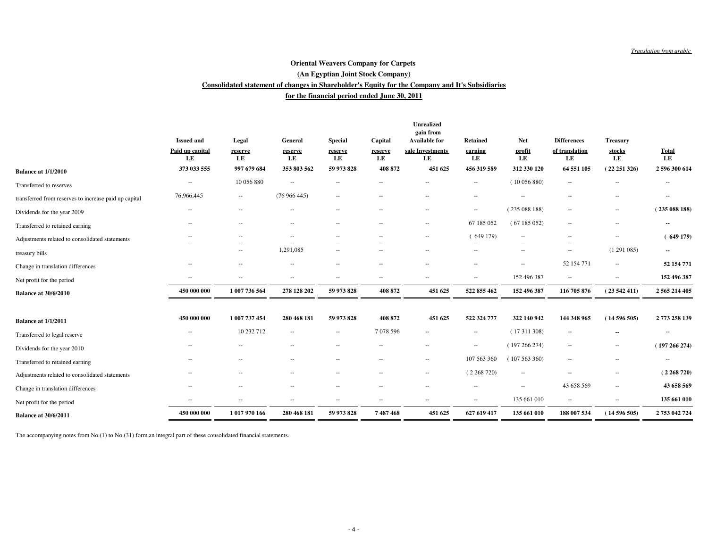#### **for the financial period ended June 30, 2011Consolidated statement of changes in Shareholder's Equity for the Company and It's Subsidiaries (An Egyptian Joint Stock Company)Oriental Weavers Company for Carpets**

|                                                       |                                            |                          |                          |                                 |                          | <b>Unrealized</b><br>gain from<br><b>Available for</b> |                                  | <b>Net</b>               | <b>Differences</b>       |                                 |                          |
|-------------------------------------------------------|--------------------------------------------|--------------------------|--------------------------|---------------------------------|--------------------------|--------------------------------------------------------|----------------------------------|--------------------------|--------------------------|---------------------------------|--------------------------|
|                                                       | <b>Issued and</b><br>Paid up capital<br>LE | Legal<br>reserve<br>LE   | General<br>reserve<br>LE | <b>Special</b><br>reserve<br>LE | Capital<br>reserve<br>LE | sale Investments<br>LE                                 | <b>Retained</b><br>earning<br>LE | profit<br>LE             | of translation<br>LE     | <b>Treasury</b><br>stocks<br>LE | $\frac{Total}{LE}$       |
| <b>Balance at 1/1/2010</b>                            | 373 033 555                                | 997 679 684              | 353 803 562              | 59 973 828                      | 408 872                  | 451 625                                                | 456 319 589                      | 312 330 120              | 64 551 105               | (22251326)                      | 2 596 300 614            |
| Transferred to reserves                               | $-\, -$                                    | 10 056 880               | $\sim$                   | $\overline{a}$                  |                          |                                                        | $\qquad \qquad -$                | (10056880)               | $\overline{\phantom{a}}$ | --                              | $\cdots$                 |
| transferred from reserves to increase paid up capital | 76,966,445                                 | $\hspace{0.05cm} \ldots$ | (76966445)               | $\overline{\phantom{a}}$        | $\hspace{0.05cm} -$      | $\overline{\phantom{a}}$                               | $\overline{\phantom{a}}$         | $\overline{\phantom{a}}$ | $\hspace{0.05cm} -$      | $-\, -$                         | $\overline{\phantom{a}}$ |
| Dividends for the year 2009                           |                                            |                          | $\sim$                   | $-$                             | н.                       | $\hspace{0.05cm}$                                      | $\overline{\phantom{a}}$         | (235088188)              | $\overline{\phantom{a}}$ | $-\, -$                         | (235088188)              |
| Transferred to retained earning                       | $\overline{\phantom{a}}$                   | $-$                      | $\sim$                   | $\overline{a}$                  | $\overline{\phantom{a}}$ | $\overline{\phantom{a}}$                               | 67 185 052                       | (67185052)               | $\hspace{0.05cm} -$      | $\overline{\phantom{a}}$        | $-$                      |
| Adjustments related to consolidated statements        |                                            | $-$                      | $\sim$                   | $\overline{a}$                  | $\overline{\phantom{a}}$ | $\overline{\phantom{a}}$                               | (649179)                         | $\overline{\phantom{a}}$ | $\overline{\phantom{a}}$ | $\overline{\phantom{a}}$        | (649179)                 |
| treasury bills                                        |                                            | $- -$                    | 1,291,085                | $\sim$                          | $-\,$                    | $\overline{\phantom{a}}$                               | $\overline{a}$                   | $\hspace{0.05cm} \ldots$ | $\qquad \qquad -$        | (1291085)                       | $\sim$                   |
| Change in translation differences                     | --                                         | $\sim$ $-$               | $\sim$                   |                                 | --                       | $\overline{\phantom{a}}$                               | $\overline{a}$                   | $\hspace{0.05cm} \ldots$ | 52 154 771               | $\overline{\phantom{a}}$        | 52 154 771               |
| Net profit for the period                             | $\overline{\phantom{a}}$                   | $\overline{\phantom{a}}$ | $\sim$                   |                                 | $\overline{\phantom{a}}$ | $\overline{\phantom{a}}$                               | $\overline{\phantom{a}}$         | 152 496 387              | $\hspace{0.05cm} -$      | $\overline{\phantom{a}}$        | 152 496 387              |
| <b>Balance at 30/6/2010</b>                           | 450 000 000                                | 1 007 736 564            | 278 128 202              | 59 973 828                      | 408 872                  | 451 625                                                | 522 855 462                      | 152 496 387              | 116 705 876              | (23542411)                      | 2 5 6 5 2 1 4 4 0 5      |
|                                                       |                                            |                          |                          |                                 |                          |                                                        |                                  |                          |                          |                                 |                          |
| <b>Balance at 1/1/2011</b>                            | 450 000 000                                | 1 007 737 454            | 280 468 181              | 59 973 828                      | 408 872                  | 451 625                                                | 522 324 777                      | 322 140 942              | 144 348 965              | (14596505)                      | 2773 258 139             |
| Transferred to legal reserve                          | $-\, -$                                    | 10 232 712               | $\overline{\phantom{a}}$ | $\overline{\phantom{a}}$        | 7078596                  | $\sim$                                                 | $\overline{\phantom{a}}$         | (17311308)               | $\overline{\phantom{a}}$ | --                              | $\overline{\phantom{a}}$ |
| Dividends for the year 2010                           |                                            |                          | $\sim$                   | $\overline{\phantom{a}}$        | $\overline{a}$           | $\overline{\phantom{a}}$                               | $\overline{\phantom{a}}$         | (197266274)              | $\hspace{0.05cm} -$      | $-\, -$                         | (197266274)              |
| Transferred to retained earning                       | $\overline{\phantom{a}}$                   | $-$                      | $\sim$                   | $\overline{\phantom{a}}$        | $\hspace{0.05cm} -$      | $\overline{\phantom{a}}$                               | 107 563 360                      | (107563360)              | $\hspace{0.05cm} -$      | $\overline{\phantom{a}}$        | $\overline{\phantom{a}}$ |
| Adjustments related to consolidated statements        | $\overline{\phantom{a}}$                   | $\sim$ $\sim$            | $\sim$                   | $\overline{\phantom{a}}$        | $\overline{\phantom{a}}$ | $\overline{\phantom{a}}$                               | (2268720)                        | $\overline{\phantom{a}}$ | $\qquad \qquad -$        | $\overline{\phantom{a}}$        | (2268720)                |
| Change in translation differences                     | $\overline{\phantom{a}}$                   | $\overline{\phantom{a}}$ | $\sim$                   | ٠.                              | $\overline{a}$           | $\overline{\phantom{a}}$                               | $\overline{a}$                   | $\overline{\phantom{a}}$ | 43 658 569               | $\overline{\phantom{a}}$        | 43 658 569               |
| Net profit for the period                             | $\overline{\phantom{a}}$                   | $\sim$ $-$               | $\overline{a}$           | $\overline{\phantom{a}}$        | $-\,$                    | $\overline{\phantom{a}}$                               | $\overline{\phantom{a}}$         | 135 661 010              | $\overline{\phantom{a}}$ | $\overline{\phantom{a}}$        | 135 661 010              |
| <b>Balance at 30/6/2011</b>                           | 450 000 000                                | 1 017 970 166            | 280 468 181              | 59 973 828                      | 7487468                  | 451 625                                                | 627 619 417                      | 135 661 010              | 188 007 534              | (14596505)                      | 2753 042 724             |
|                                                       |                                            |                          |                          |                                 |                          |                                                        |                                  |                          |                          |                                 |                          |

The accompanying notes from No.(1) to No.(31) form an integral part of these consolidated financial statements.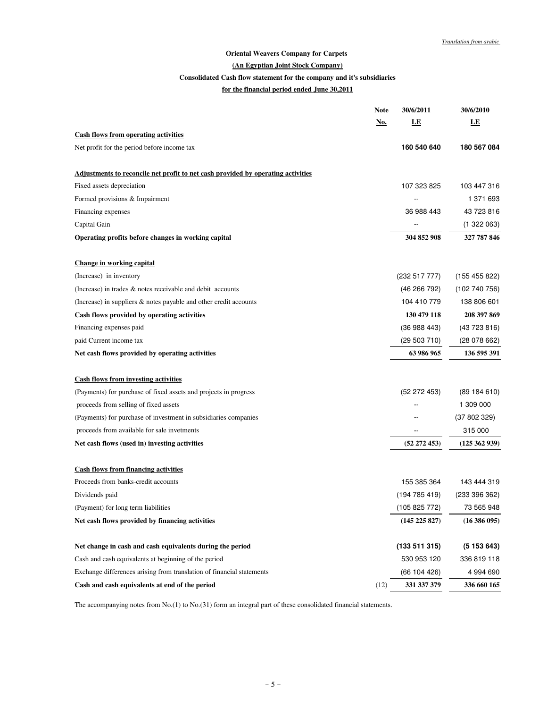### **Oriental Weavers Company for Carpets**

#### **(An Egyptian Joint Stock Company)**

# <u>(An Egypti:</u><br>Consolidated Cash flow state<br><u>for the financia</u> **Consolidated Cash flow statement for the company and it's subsidiaries**

#### **for the financial period ended June 30,2011**

|                                                                                         | <b>Note</b> | <b>30/6/2011</b>  | 30/6/2010        |
|-----------------------------------------------------------------------------------------|-------------|-------------------|------------------|
|                                                                                         | <u>No.</u>  | LE                | LE               |
| <b>Cash flows from operating activities</b>                                             |             |                   |                  |
| Net profit for the period before income tax                                             |             | 160 540 640       | 180 567 084      |
| <u>Adjustments to reconcile net profit to net cash provided by operating activities</u> |             |                   |                  |
| Fixed assets depreciation                                                               |             | 107 323 825       | 103 447 316      |
| Formed provisions & Impairment                                                          |             |                   | 1 371 693        |
| Financing expenses                                                                      |             | 36 988 443        | 43 723 816       |
| Capital Gain                                                                            |             |                   | (1322063)        |
| Operating profits before changes in working capital                                     |             | 304 852 908       | 327 787 846      |
| <b>Change in working capital</b>                                                        |             |                   |                  |
| (Increase) in inventory                                                                 |             | (232517777)       | (155 455 822)    |
| (Increase) in trades & notes receivable and debit accounts                              |             | (46266792)        | (102740756)      |
| (Increase) in suppliers $\&$ notes payable and other credit accounts                    |             | 104 410 779       | 138 806 601      |
| Cash flows provided by operating activities                                             |             | 130 479 118       | 208 397 869      |
| Financing expenses paid                                                                 |             | (36988443)        | (43723816)       |
| paid Current income tax                                                                 |             | (29503710)        | (28078662)       |
| Net cash flows provided by operating activities                                         |             | 63 986 965        | 136 595 391      |
| <b>Cash flows from investing activities</b>                                             |             |                   |                  |
| (Payments) for purchase of fixed assets and projects in progress                        |             | (52 272 453)      | (89184610)       |
| proceeds from selling of fixed assets                                                   |             |                   | 1 309 000        |
| (Payments) for purchase of investment in subsidiaries companies                         |             |                   | (37802329)       |
| proceeds from available for sale invetments                                             |             |                   | 315 000          |
| Net cash flows (used in) investing activities                                           |             | (52 272 453)      | (125 362 939)    |
| <b>Cash flows from financing activities</b>                                             |             |                   |                  |
| Proceeds from banks-credit accounts                                                     |             | 155 385 364       | 143 444 319      |
| Dividends paid                                                                          |             | (194785419)       | (233 396 362)    |
| (Payment) for long term liabilities                                                     |             | (105 825 772)     | 73 565 948       |
| Net cash flows provided by financing activities                                         |             | $(145\ 225\ 827)$ | $(16\,386\,095)$ |
| Net change in cash and cash equivalents during the period                               |             | (133511315)       | (5153643)        |
| Cash and cash equivalents at beginning of the period                                    |             | 530 953 120       | 336 819 118      |
| Exchange differences arising from translation of financial statements                   |             | (66104426)        | 4 994 690        |
| Cash and cash equivalents at end of the period                                          | (12)        | 331 337 379       | 336 660 165      |

The accompanying notes from No.(1) to No.(31) form an integral part of these consolidated financial statements.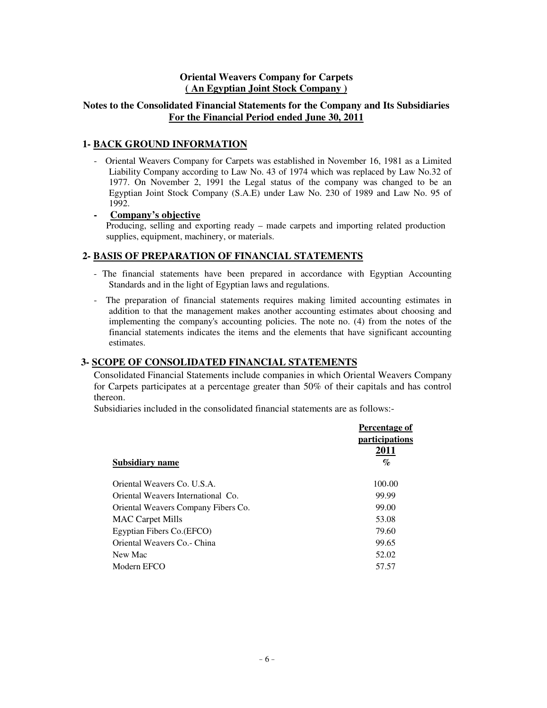### **Oriental Weavers Company for Carpets ( An Egyptian Joint Stock Company )**

### **Notes to the Consolidated Financial Statements for the Company and Its Subsidiaries For the Financial Period ended June 30, 2011**

### **1- BACK GROUND INFORMATION**

- Oriental Weavers Company for Carpets was established in November 16, 1981 as a Limited Liability Company according to Law No. 43 of 1974 which was replaced by Law No.32 of 1977. On November 2, 1991 the Legal status of the company was changed to be an Egyptian Joint Stock Company (S.A.E) under Law No. 230 of 1989 and Law No. 95 of 1992.

**- Company's objective**

Producing, selling and exporting ready – made carpets and importing related production supplies, equipment, machinery, or materials.

### **2- BASIS OF PREPARATION OF FINANCIAL STATEMENTS**

- The financial statements have been prepared in accordance with Egyptian Accounting Standards and in the light of Egyptian laws and regulations.
- The preparation of financial statements requires making limited accounting estimates in addition to that the management makes another accounting estimates about choosing and implementing the company's accounting policies. The note no. (4) from the notes of the financial statements indicates the items and the elements that have significant accounting estimates.

### **3- SCOPE OF CONSOLIDATED FINANCIAL STATEMENTS**

Consolidated Financial Statements include companies in which Oriental Weavers Company for Carpets participates at a percentage greater than 50% of their capitals and has control thereon.

Subsidiaries included in the consolidated financial statements are as follows:-

|                                     | Percentage of                 |
|-------------------------------------|-------------------------------|
|                                     | <i>participations</i><br>2011 |
| Subsidiary name                     | $\%$                          |
| Oriental Weavers Co. U.S.A.         | 100.00                        |
| Oriental Weavers International Co.  | 99.99                         |
| Oriental Weavers Company Fibers Co. | 99.00                         |
| <b>MAC</b> Carpet Mills             | 53.08                         |
| Egyptian Fibers Co. (EFCO)          | 79.60                         |
| Oriental Weavers Co. - China        | 99.65                         |
| New Mac                             | 52.02                         |
| Modern EFCO                         | 57.57                         |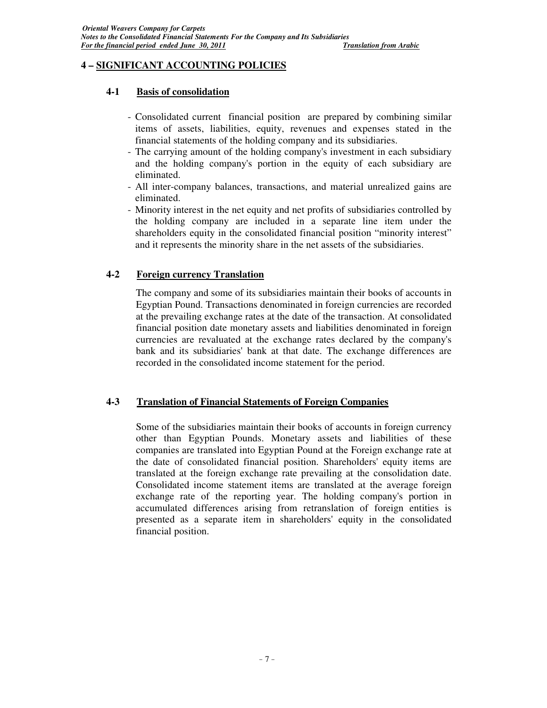### **4 – SIGNIFICANT ACCOUNTING POLICIES**

### **4-1 Basis of consolidation**

- Consolidated current financial position are prepared by combining similar items of assets, liabilities, equity, revenues and expenses stated in the financial statements of the holding company and its subsidiaries.
- The carrying amount of the holding company's investment in each subsidiary and the holding company's portion in the equity of each subsidiary are eliminated.
- All inter-company balances, transactions, and material unrealized gains are eliminated.
- Minority interest in the net equity and net profits of subsidiaries controlled by the holding company are included in a separate line item under the shareholders equity in the consolidated financial position "minority interest" and it represents the minority share in the net assets of the subsidiaries.

### **4-2 Foreign currency Translation**

The company and some of its subsidiaries maintain their books of accounts in Egyptian Pound. Transactions denominated in foreign currencies are recorded at the prevailing exchange rates at the date of the transaction. At consolidated financial position date monetary assets and liabilities denominated in foreign currencies are revaluated at the exchange rates declared by the company's bank and its subsidiaries' bank at that date. The exchange differences are recorded in the consolidated income statement for the period.

### **4-3 Translation of Financial Statements of Foreign Companies**

Some of the subsidiaries maintain their books of accounts in foreign currency other than Egyptian Pounds. Monetary assets and liabilities of these companies are translated into Egyptian Pound at the Foreign exchange rate at the date of consolidated financial position. Shareholders' equity items are translated at the foreign exchange rate prevailing at the consolidation date. Consolidated income statement items are translated at the average foreign exchange rate of the reporting year. The holding company's portion in accumulated differences arising from retranslation of foreign entities is presented as a separate item in shareholders' equity in the consolidated financial position.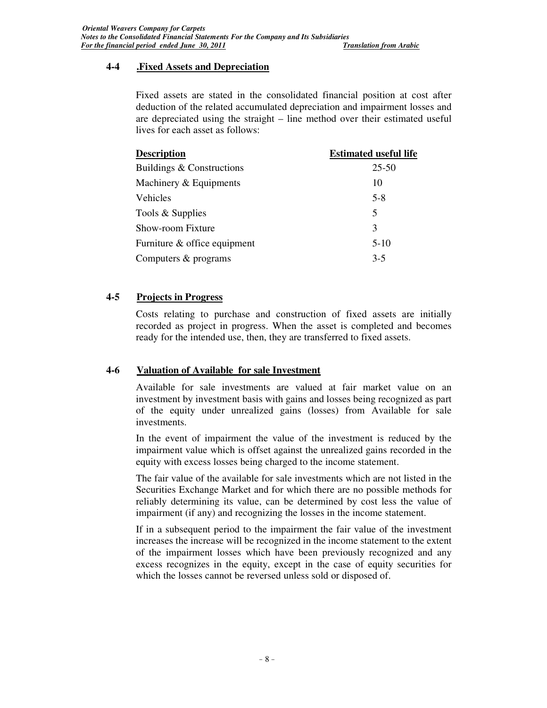### **4-4 .Fixed Assets and Depreciation**

Fixed assets are stated in the consolidated financial position at cost after deduction of the related accumulated depreciation and impairment losses and are depreciated using the straight – line method over their estimated useful lives for each asset as follows:

| <b>Description</b>           | <b>Estimated useful life</b> |
|------------------------------|------------------------------|
| Buildings & Constructions    | $25 - 50$                    |
| Machinery & Equipments       | 10                           |
| Vehicles                     | $5-8$                        |
| Tools & Supplies             | 5                            |
| Show-room Fixture            | 3                            |
| Furniture & office equipment | $5-10$                       |
| Computers & programs         | $3-5$                        |
|                              |                              |

### **4-5 Projects in Progress**

Costs relating to purchase and construction of fixed assets are initially recorded as project in progress. When the asset is completed and becomes ready for the intended use, then, they are transferred to fixed assets.

### **4-6 Valuation of Available for sale Investment**

Available for sale investments are valued at fair market value on an investment by investment basis with gains and losses being recognized as part of the equity under unrealized gains (losses) from Available for sale investments.

In the event of impairment the value of the investment is reduced by the impairment value which is offset against the unrealized gains recorded in the equity with excess losses being charged to the income statement.

The fair value of the available for sale investments which are not listed in the Securities Exchange Market and for which there are no possible methods for reliably determining its value, can be determined by cost less the value of impairment (if any) and recognizing the losses in the income statement.

If in a subsequent period to the impairment the fair value of the investment increases the increase will be recognized in the income statement to the extent of the impairment losses which have been previously recognized and any excess recognizes in the equity, except in the case of equity securities for which the losses cannot be reversed unless sold or disposed of.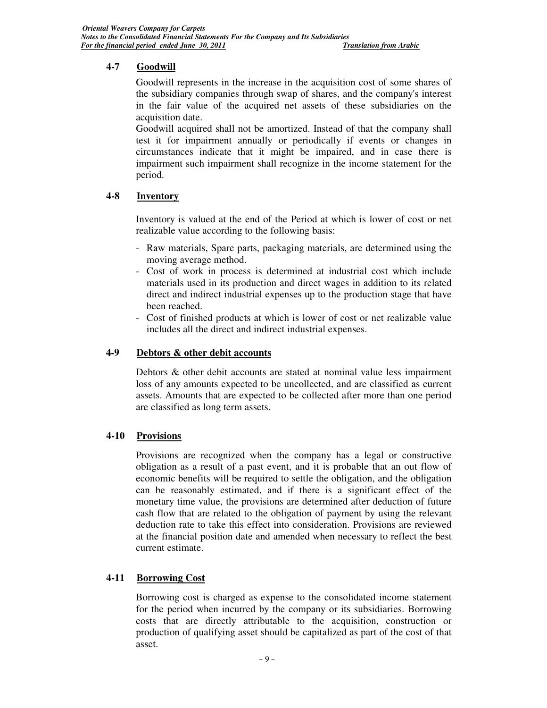### **4-7 Goodwill**

Goodwill represents in the increase in the acquisition cost of some shares of the subsidiary companies through swap of shares, and the company's interest in the fair value of the acquired net assets of these subsidiaries on the acquisition date.

Goodwill acquired shall not be amortized. Instead of that the company shall test it for impairment annually or periodically if events or changes in circumstances indicate that it might be impaired, and in case there is impairment such impairment shall recognize in the income statement for the period.

### **4-8 Inventory**

Inventory is valued at the end of the Period at which is lower of cost or net realizable value according to the following basis:

- Raw materials, Spare parts, packaging materials, are determined using the moving average method.
- Cost of work in process is determined at industrial cost which include materials used in its production and direct wages in addition to its related direct and indirect industrial expenses up to the production stage that have been reached.
- Cost of finished products at which is lower of cost or net realizable value includes all the direct and indirect industrial expenses.

### **4-9 Debtors & other debit accounts**

Debtors & other debit accounts are stated at nominal value less impairment loss of any amounts expected to be uncollected, and are classified as current assets. Amounts that are expected to be collected after more than one period are classified as long term assets.

### **4-10 Provisions**

Provisions are recognized when the company has a legal or constructive obligation as a result of a past event, and it is probable that an out flow of economic benefits will be required to settle the obligation, and the obligation can be reasonably estimated, and if there is a significant effect of the monetary time value, the provisions are determined after deduction of future cash flow that are related to the obligation of payment by using the relevant deduction rate to take this effect into consideration. Provisions are reviewed at the financial position date and amended when necessary to reflect the best current estimate.

### **4-11 Borrowing Cost**

Borrowing cost is charged as expense to the consolidated income statement for the period when incurred by the company or its subsidiaries. Borrowing costs that are directly attributable to the acquisition, construction or production of qualifying asset should be capitalized as part of the cost of that asset.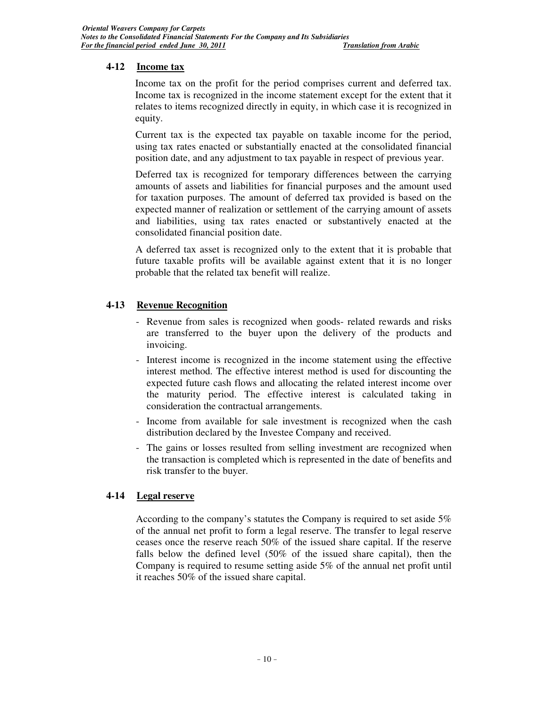### **4-12 Income tax**

Income tax on the profit for the period comprises current and deferred tax. Income tax is recognized in the income statement except for the extent that it relates to items recognized directly in equity, in which case it is recognized in equity.

Current tax is the expected tax payable on taxable income for the period, using tax rates enacted or substantially enacted at the consolidated financial position date, and any adjustment to tax payable in respect of previous year.

Deferred tax is recognized for temporary differences between the carrying amounts of assets and liabilities for financial purposes and the amount used for taxation purposes. The amount of deferred tax provided is based on the expected manner of realization or settlement of the carrying amount of assets and liabilities, using tax rates enacted or substantively enacted at the consolidated financial position date.

A deferred tax asset is recognized only to the extent that it is probable that future taxable profits will be available against extent that it is no longer probable that the related tax benefit will realize.

### **4-13 Revenue Recognition**

- Revenue from sales is recognized when goods- related rewards and risks are transferred to the buyer upon the delivery of the products and invoicing.
- Interest income is recognized in the income statement using the effective interest method. The effective interest method is used for discounting the expected future cash flows and allocating the related interest income over the maturity period. The effective interest is calculated taking in consideration the contractual arrangements.
- Income from available for sale investment is recognized when the cash distribution declared by the Investee Company and received.
- The gains or losses resulted from selling investment are recognized when the transaction is completed which is represented in the date of benefits and risk transfer to the buyer.

### **4-14 Legal reserve**

According to the company's statutes the Company is required to set aside 5% of the annual net profit to form a legal reserve. The transfer to legal reserve ceases once the reserve reach 50% of the issued share capital. If the reserve falls below the defined level (50% of the issued share capital), then the Company is required to resume setting aside 5% of the annual net profit until it reaches 50% of the issued share capital.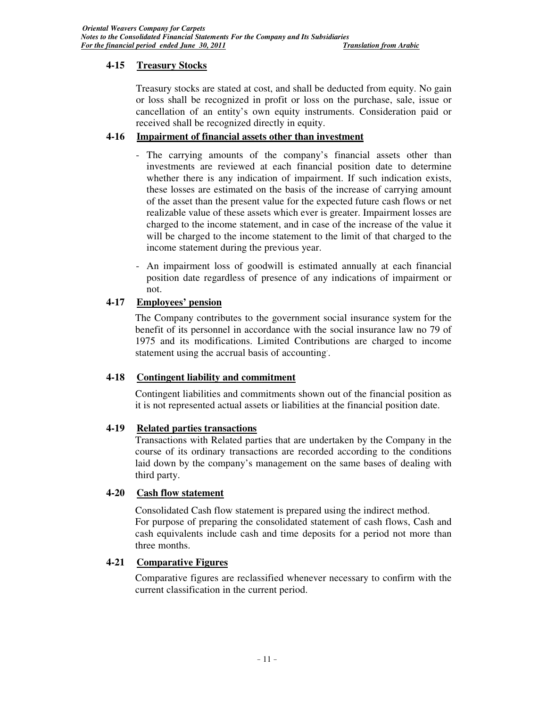### **4-15 Treasury Stocks**

Treasury stocks are stated at cost, and shall be deducted from equity. No gain or loss shall be recognized in profit or loss on the purchase, sale, issue or cancellation of an entity's own equity instruments. Consideration paid or received shall be recognized directly in equity.

### **4-16 Impairment of financial assets other than investment**

- The carrying amounts of the company's financial assets other than investments are reviewed at each financial position date to determine whether there is any indication of impairment. If such indication exists, these losses are estimated on the basis of the increase of carrying amount of the asset than the present value for the expected future cash flows or net realizable value of these assets which ever is greater. Impairment losses are charged to the income statement, and in case of the increase of the value it will be charged to the income statement to the limit of that charged to the income statement during the previous year.
- An impairment loss of goodwill is estimated annually at each financial position date regardless of presence of any indications of impairment or not.

### **4-17 Employees' pension**

The Company contributes to the government social insurance system for the benefit of its personnel in accordance with the social insurance law no 79 of 1975 and its modifications. Limited Contributions are charged to income statement using the accrual basis of accounting. .

### **4-18 Contingent liability and commitment**

Contingent liabilities and commitments shown out of the financial position as it is not represented actual assets or liabilities at the financial position date.

### **4-19 Related parties transactions**

Transactions with Related parties that are undertaken by the Company in the course of its ordinary transactions are recorded according to the conditions laid down by the company's management on the same bases of dealing with third party.

### **4-20 Cash flow statement**

Consolidated Cash flow statement is prepared using the indirect method. For purpose of preparing the consolidated statement of cash flows, Cash and cash equivalents include cash and time deposits for a period not more than three months.

### **4-21 Comparative Figures**

Comparative figures are reclassified whenever necessary to confirm with the current classification in the current period.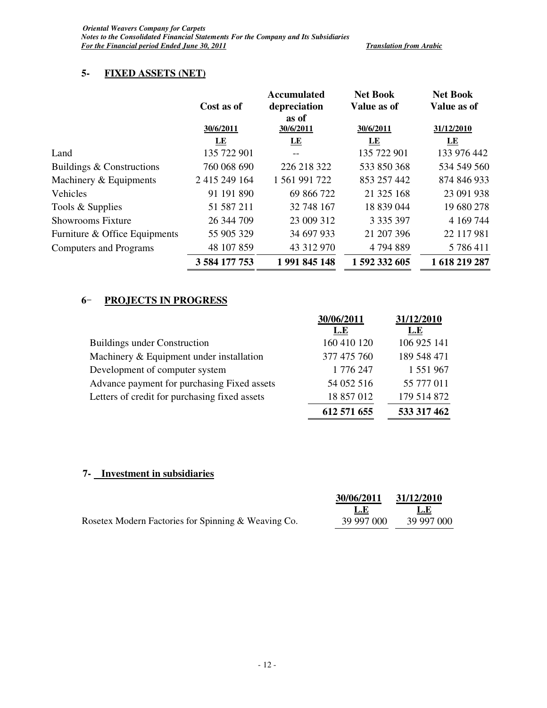# **5- FIXED ASSETS (NET)**

|                               | Cost as of    | <b>Accumulated</b><br>depreciation | <b>Net Book</b><br>Value as of | <b>Net Book</b><br>Value as of |
|-------------------------------|---------------|------------------------------------|--------------------------------|--------------------------------|
|                               | 30/6/2011     | as of<br>30/6/2011                 | 30/6/2011                      | 31/12/2010                     |
|                               | LE            | LE                                 | LE                             | LE                             |
| Land                          | 135 722 901   |                                    | 135 722 901                    | 133 976 442                    |
| Buildings & Constructions     | 760 068 690   | 226 218 322                        | 533 850 368                    | 534 549 560                    |
| Machinery & Equipments        | 2 415 249 164 | 1 561 991 722                      | 853 257 442                    | 874 846 933                    |
| Vehicles                      | 91 191 890    | 69 866 722                         | 21 325 168                     | 23 091 938                     |
| Tools & Supplies              | 51 587 211    | 32 748 167                         | 18 839 044                     | 19 680 278                     |
| <b>Showrooms Fixture</b>      | 26 344 709    | 23 009 312                         | 3 3 3 3 3 9 7                  | 4 169 744                      |
| Furniture & Office Equipments | 55 905 329    | 34 697 933                         | 21 207 396                     | 22 117 981                     |
| <b>Computers and Programs</b> | 48 107 859    | 43 312 970                         | 4794889                        | 5 786 411                      |
|                               | 3 584 177 753 | 1991845148                         | 1 592 332 605                  | 1 618 219 287                  |

### **6** - **PROJECTS IN PROGRESS**

|                                               | 30/06/2011  | 31/12/2010  |
|-----------------------------------------------|-------------|-------------|
|                                               | L.E         | L.E         |
| <b>Buildings under Construction</b>           | 160 410 120 | 106 925 141 |
| Machinery & Equipment under installation      | 377 475 760 | 189 548 471 |
| Development of computer system                | 1 776 247   | 1 551 967   |
| Advance payment for purchasing Fixed assets   | 54 052 516  | 55 777 011  |
| Letters of credit for purchasing fixed assets | 18 857 012  | 179 514 872 |
|                                               | 612 571 655 | 533 317 462 |

### **7- Investment in subsidiaries**

|                                                     | 30/06/2011 | 31/12/2010 |
|-----------------------------------------------------|------------|------------|
|                                                     | -L.E       | L.E        |
| Rosetex Modern Factories for Spinning & Weaving Co. | 39 997 000 | 39 997 000 |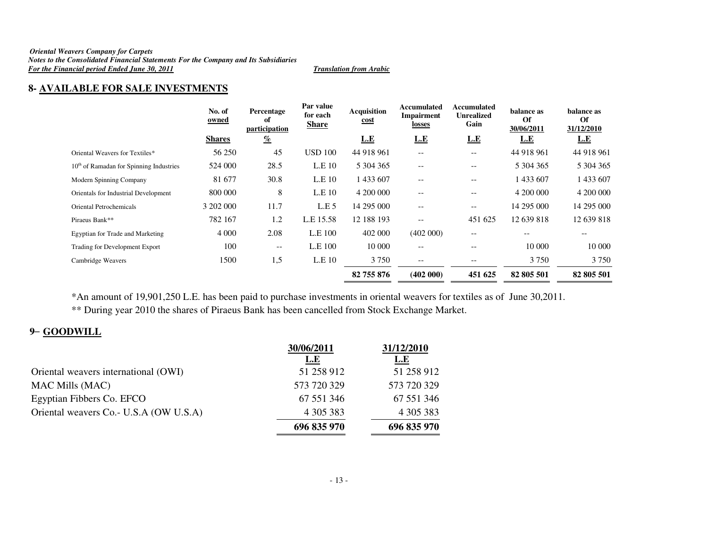#### *Oriental Weavers Company for Carpets Notes to the Consolidated Financial Statements For the Company and Its Subsidiaries For the Financial period Ended June 30, 2011 Translation from Arabic*

### **8- AVAILABLE FOR SALE INVESTMENTS**

|                                           | No. of<br>owned | Percentage<br>of<br>participation | Par value<br>for each<br><b>Share</b> | <b>Acquisition</b><br><u>cost</u> | Accumulated<br>Impairment<br>losses | Accumulated<br><b>Unrealized</b><br>Gain | balance as<br><b>Of</b><br>30/06/2011 | balance as<br>Of<br>31/12/2010 |
|-------------------------------------------|-----------------|-----------------------------------|---------------------------------------|-----------------------------------|-------------------------------------|------------------------------------------|---------------------------------------|--------------------------------|
|                                           | <b>Shares</b>   | $\frac{q}{\ell}$                  |                                       | L.E                               | <u>L.E</u>                          | <u>L.E</u>                               | L.E                                   | <u>L.E</u>                     |
| Oriental Weavers for Textiles*            | 56 250          | 45                                | <b>USD 100</b>                        | 44 918 961                        | $- -$                               | $- -$                                    | 44 918 961                            | 44 918 961                     |
| $10th$ of Ramadan for Spinning Industries | 524 000         | 28.5                              | L.E.10                                | 5 304 365                         | $\overline{\phantom{m}}$            | $\overline{\phantom{m}}$                 | 5 304 365                             | 5 304 365                      |
| Modern Spinning Company                   | 81 677          | 30.8                              | L.E <sub>10</sub>                     | 1 433 607                         | $-$                                 | $\qquad \qquad -$                        | 433 607                               | 1 433 607                      |
| Orientals for Industrial Development      | 800 000         | 8                                 | L.E <sub>10</sub>                     | 4 200 000                         | $\overline{\phantom{a}}$            | $\qquad \qquad -$                        | 4 200 000                             | 4 200 000                      |
| Oriental Petrochemicals                   | 3 202 000       | 11.7                              | L.E.5                                 | 14 295 000                        | $\overline{\phantom{a}}$            | $\qquad \qquad -$                        | 14 295 000                            | 14 295 000                     |
| Piraeus Bank**                            | 782 167         | 1.2                               | L.E 15.58                             | 12 188 193                        | $\qquad \qquad -$                   | 451 625                                  | 12 639 818                            | 12 639 818                     |
| Egyptian for Trade and Marketing          | 4 0 0 0         | 2.08                              | L.E 100                               | 402 000                           | (402 000)                           | $- -$                                    | $- -$                                 | $- -$                          |
| Trading for Development Export            | 100             | $- -$                             | L.E 100                               | 10 000                            | $\qquad \qquad -$                   | --                                       | 10 000                                | 10 000                         |
| Cambridge Weavers                         | 1500            | 1,5                               | L.E 10                                | 3 7 5 0                           | $\overline{\phantom{m}}$            | $\overline{\phantom{m}}$                 | 3 7 5 0                               | 3 7 5 0                        |
|                                           |                 |                                   |                                       | 82 755 876                        | (402 000)                           | 451 625                                  | 82 805 501                            | 82 805 501                     |

\*An amount of 19,901,250 L.E. has been paid to purchase investments in oriental weavers for textiles as of June 30,2011.

\*\* During year 2010 the shares of Piraeus Bank has been cancelled from Stock Exchange Market.

# **9** – **GOODWILL**

|                                         | 30/06/2011  | 31/12/2010  |
|-----------------------------------------|-------------|-------------|
|                                         | <u>L.E</u>  | <u>L.E</u>  |
| Oriental weavers international (OWI)    | 51 258 912  | 51 258 912  |
| <b>MAC Mills (MAC)</b>                  | 573 720 329 | 573 720 329 |
| Egyptian Fibbers Co. EFCO               | 67 551 346  | 67 551 346  |
| Oriental weavers Co. - U.S.A (OW U.S.A) | 4 305 383   | 4 305 383   |
|                                         | 696 835 970 | 696 835 970 |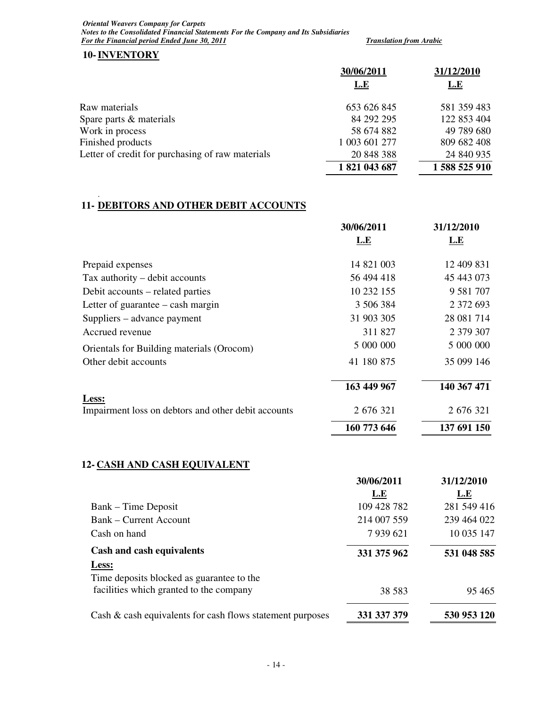*Oriental Weavers Company for Carpets Notes to the Consolidated Financial Statements For the Company and Its Subsidiaries For the Financial period Ended June 30, 2011 Translation from Arabic Translation from Arabic* 

**10-INVENTORY**

|                                                  | 30/06/2011    | 31/12/2010  |
|--------------------------------------------------|---------------|-------------|
|                                                  | L.E           | <b>L.E</b>  |
| Raw materials                                    | 653 626 845   | 581 359 483 |
| Spare parts & materials                          | 84 292 295    | 122 853 404 |
| Work in process                                  | 58 674 882    | 49 789 680  |
| Finished products                                | 1 003 601 277 | 809 682 408 |
| Letter of credit for purchasing of raw materials | 20 848 388    | 24 840 935  |
|                                                  | 1821043687    | 1588525910  |

#### . **11- DEBITORS AND OTHER DEBIT ACCOUNTS**

|                                                              | 30/06/2011<br>L.E | 31/12/2010<br>L.E |
|--------------------------------------------------------------|-------------------|-------------------|
|                                                              |                   |                   |
| Prepaid expenses                                             | 14 821 003        | 12 409 831        |
| Tax authority – debit accounts                               | 56 494 418        | 45 443 073        |
| Debit accounts – related parties                             | 10 232 155        | 9 5 8 1 7 0 7     |
| Letter of guarantee $-\cosh$ margin                          | 3 506 384         | 2 372 693         |
| Suppliers – advance payment                                  | 31 903 305        | 28 081 714        |
| Accrued revenue                                              | 311 827           | 2 379 307         |
| Orientals for Building materials (Orocom)                    | 5 000 000         | 5 000 000         |
| Other debit accounts                                         | 41 180 875        | 35 099 146        |
|                                                              | 163 449 967       | 140 367 471       |
| Less:<br>Impairment loss on debtors and other debit accounts | 2 676 321         | 2 676 321         |
|                                                              | 160 773 646       | 137 691 150       |

# **12- CASH AND CASH EQUIVALENT**

|                                                           | 30/06/2011    | 31/12/2010  |
|-----------------------------------------------------------|---------------|-------------|
|                                                           | L.E           | <b>L.E</b>  |
| Bank – Time Deposit                                       | 109 428 782   | 281 549 416 |
| <b>Bank – Current Account</b>                             | 214 007 559   | 239 464 022 |
| Cash on hand                                              | 7 9 3 9 6 2 1 | 10 035 147  |
| Cash and cash equivalents                                 | 331 375 962   | 531 048 585 |
| Less:                                                     |               |             |
| Time deposits blocked as guarantee to the                 |               |             |
| facilities which granted to the company                   | 38 5 8 3      | 95465       |
| Cash & cash equivalents for cash flows statement purposes | 331 337 379   | 530 953 120 |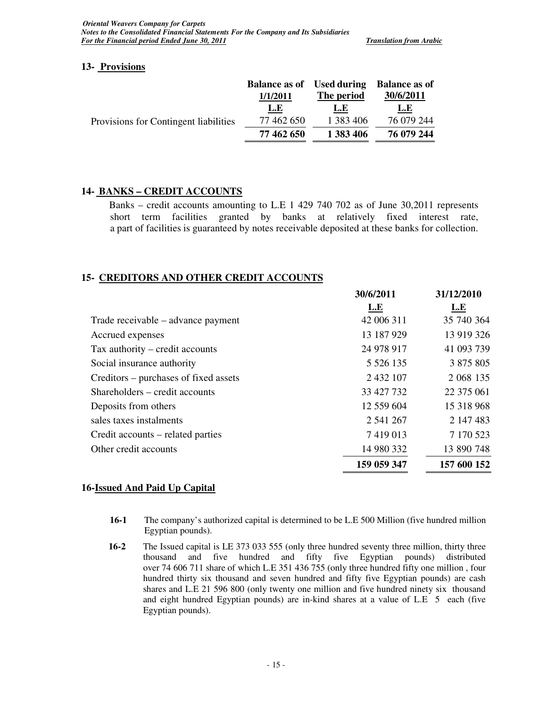### **13- Provisions**

|                                       | <b>Balance as of</b> | <b>Used during</b> | <b>Balance as of</b> |
|---------------------------------------|----------------------|--------------------|----------------------|
|                                       | 1/1/2011             | The period         | 30/6/2011            |
|                                       | <u>L.E</u>           | L.E                | <u>L.E</u>           |
| Provisions for Contingent liabilities | 77 462 650           | 1 383 406          | 76 079 244           |
|                                       | 77 462 650           | 1 383 406          | 76 079 244           |
|                                       |                      |                    |                      |

### **14- BANKS – CREDIT ACCOUNTS**

Banks – credit accounts amounting to L.E 1 429 740 702 as of June 30,2011 represents short term facilities granted by banks at relatively fixed interest rate, a part of facilities is guaranteed by notes receivable deposited at these banks for collection.

### **15- CREDITORS AND OTHER CREDIT ACCOUNTS**

|                                       | 30/6/2011     | 31/12/2010  |
|---------------------------------------|---------------|-------------|
|                                       | L.E           | L.E         |
| Trade receivable – advance payment    | 42 006 311    | 35 740 364  |
| Accrued expenses                      | 13 187 929    | 13 919 326  |
| Tax authority – credit accounts       | 24 978 917    | 41 093 739  |
| Social insurance authority            | 5 5 2 6 1 3 5 | 3 875 805   |
| Creditors – purchases of fixed assets | 2 432 107     | 2 068 135   |
| Shareholders – credit accounts        | 33 427 732    | 22 375 061  |
| Deposits from others                  | 12 559 604    | 15 318 968  |
| sales taxes instalments               | 2 541 267     | 2 147 483   |
| Credit accounts – related parties     | 7419013       | 7 170 523   |
| Other credit accounts                 | 14 980 332    | 13 890 748  |
|                                       | 159 059 347   | 157 600 152 |
|                                       |               |             |

### **16-Issued And Paid Up Capital**

- **16-1** The company's authorized capital is determined to be L.E 500 Million (five hundred million Egyptian pounds).
- **16-2** The Issued capital is LE 373 033 555 (only three hundred seventy three million, thirty three thousand and five hundred and fifty five Egyptian pounds) distributed over 74 606 711 share of which L.E 351 436 755 (only three hundred fifty one million , four hundred thirty six thousand and seven hundred and fifty five Egyptian pounds) are cash shares and L.E 21 596 800 (only twenty one million and five hundred ninety six thousand and eight hundred Egyptian pounds) are in-kind shares at a value of L.E 5 each (five Egyptian pounds).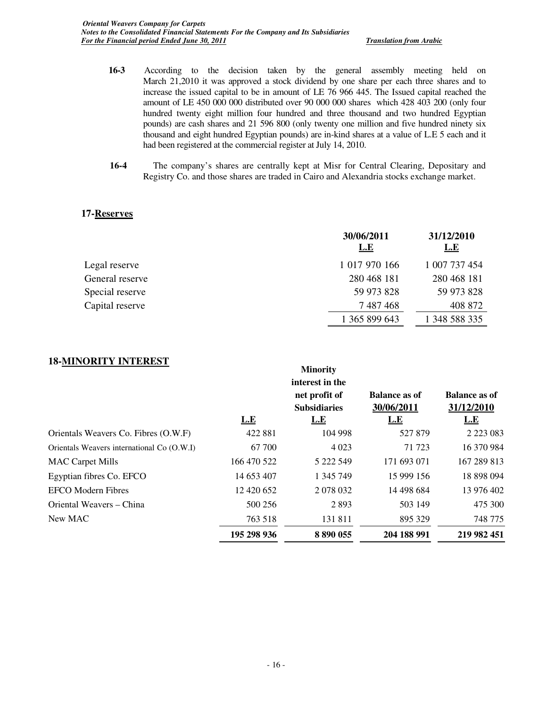- **16-3** According to the decision taken by the general assembly meeting held on March 21,2010 it was approved a stock dividend by one share per each three shares and to increase the issued capital to be in amount of LE 76 966 445. The Issued capital reached the amount of LE 450 000 000 distributed over 90 000 000 shares which 428 403 200 (only four hundred twenty eight million four hundred and three thousand and two hundred Egyptian pounds) are cash shares and 21 596 800 (only twenty one million and five hundred ninety six thousand and eight hundred Egyptian pounds) are in-kind shares at a value of L.E 5 each and it had been registered at the commercial register at July 14, 2010.
- **16-4** The company's shares are centrally kept at Misr for Central Clearing, Depositary and Registry Co. and those shares are traded in Cairo and Alexandria stocks exchange market.

#### **17-Reserves**

|                 | 30/06/2011<br><u>L.E</u> | 31/12/2010<br><u>L.E</u> |
|-----------------|--------------------------|--------------------------|
| Legal reserve   | 1 017 970 166            | 1 007 737 454            |
| General reserve | 280 468 181              | 280 468 181              |
| Special reserve | 59 973 828               | 59 973 828               |
| Capital reserve | 7 487 468                | 408 872                  |
|                 | 1 365 899 643            | 1 348 588 335            |

**Minority** 

### **18-MINORITY INTEREST**

|                                            | L.E         | MINOTITY<br>interest in the<br>net profit of<br><b>Subsidiaries</b><br><u>L.E</u> | <b>Balance as of</b><br>30/06/2011<br><u>L.E</u> | <b>Balance as of</b><br>31/12/2010<br><u>L.E</u> |
|--------------------------------------------|-------------|-----------------------------------------------------------------------------------|--------------------------------------------------|--------------------------------------------------|
| Orientals Weavers Co. Fibres (O.W.F)       | 422 881     | 104 998                                                                           | 527 879                                          | 2 2 2 3 0 8 3                                    |
| Orientals Weavers international Co (O.W.I) | 67 700      | 4 0 2 3                                                                           | 71 723                                           | 16 370 984                                       |
| <b>MAC Carpet Mills</b>                    | 166 470 522 | 5 222 549                                                                         | 171 693 071                                      | 167 289 813                                      |
| Egyptian fibres Co. EFCO                   | 14 653 407  | 1 345 749                                                                         | 15 999 156                                       | 18 898 094                                       |
| <b>EFCO</b> Modern Fibres                  | 12 420 652  | 2 078 032                                                                         | 14 498 684                                       | 13 976 402                                       |
| Oriental Weavers – China                   | 500 256     | 2893                                                                              | 503 149                                          | 475 300                                          |
| New MAC                                    | 763 518     | 131811                                                                            | 895 329                                          | 748 775                                          |
|                                            | 195 298 936 | 8 890 055                                                                         | 204 188 991                                      | 219 982 451                                      |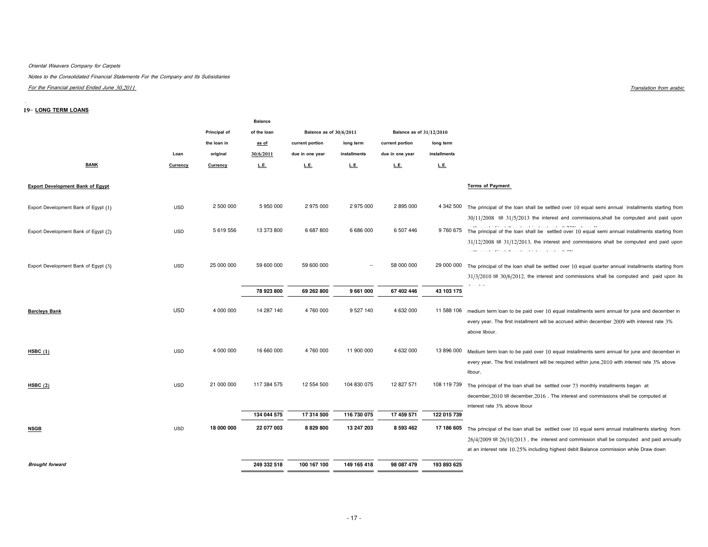#### Oriental Weavers Company for Carpets

Notes to the Consolidated Financial Statements For the Company and Its Subsidiaries

For the Financial period Ended June 30,2011

#### 19-LONG TERM LOANS

 $\mathbf{r}$ 

|                                         |            |              | <b>Balance</b> |                         |                          |                          |              |                                                                                                                                                                                                                                                                                                                       |
|-----------------------------------------|------------|--------------|----------------|-------------------------|--------------------------|--------------------------|--------------|-----------------------------------------------------------------------------------------------------------------------------------------------------------------------------------------------------------------------------------------------------------------------------------------------------------------------|
|                                         |            | Principal of | of the loan    | Balance as of 30/6/2011 |                          | Balance as of 31/12/2010 |              |                                                                                                                                                                                                                                                                                                                       |
|                                         |            | the loan in  | as of          | current portion         | long term                | current portion          | long term    |                                                                                                                                                                                                                                                                                                                       |
|                                         | Loan       | original     | 30/6/2011      | due in one year         | installments             | due in one year          | installments |                                                                                                                                                                                                                                                                                                                       |
| <b>BANK</b>                             | Currency   | Currency     | L.E.           | <u>L.E.</u>             | L.E.                     | <u>L.E.</u>              | L.E.         |                                                                                                                                                                                                                                                                                                                       |
| <b>Export Development Bank of Egypt</b> |            |              |                |                         |                          |                          |              | <b>Terms of Payment</b>                                                                                                                                                                                                                                                                                               |
| Export Development Bank of Egypt (1)    | <b>USD</b> | 2 500 000    | 5 950 000      | 2 975 000               | 2975000                  | 2 895 000                | 4 342 500    | The principal of the loan shall be settled over 10 equal semi annual installments starting from<br>$30/11/2008$ till $31/5/2013$ the interest and commissions, shall be computed and paid upon                                                                                                                        |
| Export Development Bank of Egypt (2)    | <b>USD</b> | 5 619 556    | 13 373 800     | 6 687 800               | 6 686 000                | 6 507 446                |              | contract contract<br>the contract of the contract<br>9 760 675 The principal of the loan shall be settled over 10 equal semi annual installments starting from<br>$31/12/2008$ till $31/12/2013$ , the interest and commissions shall be computed and paid upon<br>and the property and the property of the community |
| Export Development Bank of Egypt (3)    | <b>USD</b> | 25 000 000   | 59 600 000     | 59 600 000              | $\overline{\phantom{a}}$ | 58 000 000               |              | 29 000 000 The principal of the loan shall be settled over 10 equal quarter annual installments starting from<br>$31/3/2010$ till $30/6/2012$ , the interest and commissions shall be computed and paid upon its                                                                                                      |
|                                         |            |              | 78 923 800     | 69 262 800              | 9 661 000                | 67 402 446               | 43 103 175   |                                                                                                                                                                                                                                                                                                                       |
| <b>Barcleys Bank</b>                    | <b>USD</b> | 4 000 000    | 14 287 140     | 4760000                 | 9 5 27 140               | 4 632 000                | 11 588 106   | medium term loan to be paid over 10 equal installments semi annual for june and december in<br>every year. The first installment will be accrued within december 2009 with interest rate 3%<br>above libour.                                                                                                          |
| HSE(1)                                  | <b>USD</b> | 4 000 000    | 16 660 000     | 4760000                 | 11 900 000               | 4 632 000                | 13 896 000   | Medium term loan to be paid over 10 equal installments semi annual for june and december in<br>every year. The first installment will be required within june, 2010 with interest rate 3% above<br>libour.                                                                                                            |
| HSE(2)                                  | <b>USD</b> | 21 000 000   | 117 384 575    | 12 554 500              | 104 830 075              | 12 827 571               | 108 119 739  | The principal of the loan shall be settled over 73 monthly installments began at<br>december, 2010 till december, 2016. The interest and commissions shall be computed at<br>interest rate 3% above libour                                                                                                            |
|                                         |            |              | 134 044 575    | 17 314 500              | 116 730 075              | 17 459 571               | 122 015 739  |                                                                                                                                                                                                                                                                                                                       |
| <b>NSGB</b>                             | <b>USD</b> | 18 000 000   | 22 077 003     | 8 8 29 8 00             | 13 247 203               | 8 593 462                | 17 186 605   | The principal of the loan shall be settled over 10 equal semi annual installments starting from<br>$26/4/2009$ till $26/10/2013$ , the interest and commission shall be computed and paid annually<br>at an interest rate 10.25% including highest debit Balance commission while Draw down                           |
| <b>Brought forward</b>                  |            |              | 249 332 518    | 100 167 100             | 149 165 418              | 98 087 479               | 193 893 625  |                                                                                                                                                                                                                                                                                                                       |

Translation from arabic terms of the set of the set of the set of the set of the set of the set of the set of the set of the set of the set of the set of the set of the set of the set of the set of the set of the set of th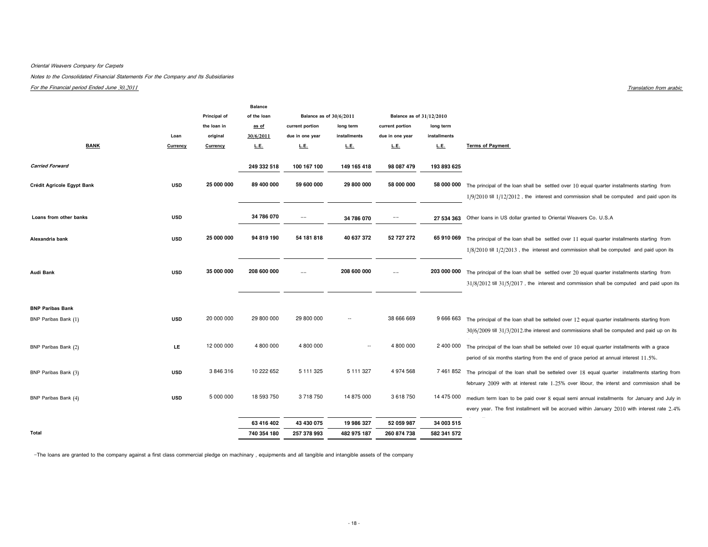#### Oriental Weavers Company for Carpets

Notes to the Consolidated Financial Statements For the Company and Its Subsidiaries

For the Financial period Ended June 30,2011

|            | Principal of     | of the loan                           |                                        |                                        |                                                      |                                |                                                                                                                          |
|------------|------------------|---------------------------------------|----------------------------------------|----------------------------------------|------------------------------------------------------|--------------------------------|--------------------------------------------------------------------------------------------------------------------------|
|            | the loan in      | as of                                 | current portion                        | long term                              | current portion                                      | long term                      |                                                                                                                          |
| Loan       | original         | 30/6/2011                             | due in one year                        | installments                           | due in one year                                      | installments                   |                                                                                                                          |
| Currency   | Currency         | L.E.                                  | L.E.                                   | <b>L.E.</b>                            | L.E.                                                 | L.E.                           | <b>Terms of Payment</b>                                                                                                  |
|            |                  |                                       |                                        |                                        |                                                      |                                |                                                                                                                          |
|            |                  | 249 332 518                           | 100 167 100                            | 149 165 418                            | 98 087 479                                           | 193 893 625                    |                                                                                                                          |
|            |                  |                                       |                                        |                                        |                                                      |                                |                                                                                                                          |
| <b>USD</b> | 25 000 000       | 89 400 000                            | 59 600 000                             | 29 800 000                             | 58 000 000                                           |                                | The principal of the loan shall be settled over 10 equal quarter installments starting from                              |
|            |                  |                                       |                                        |                                        |                                                      |                                | $1/9/2010$ till $1/12/2012$ , the interest and commission shall be computed and paid upon its                            |
|            |                  |                                       |                                        |                                        |                                                      |                                |                                                                                                                          |
| <b>USD</b> |                  | 34 786 070                            | $\sim$ $-$                             | 34 786 070                             |                                                      |                                | Other loans in US dollar granted to Oriental Weavers Co. U.S.A                                                           |
|            |                  |                                       |                                        |                                        |                                                      |                                |                                                                                                                          |
| <b>USD</b> | 25 000 000       | 94 819 190                            | 54 181 818                             | 40 637 372                             | 52 727 272                                           | 65 910 069                     | The principal of the loan shall be settled over 11 equal quarter installments starting from                              |
|            |                  |                                       |                                        |                                        |                                                      |                                | $1/8/2010$ till $1/2/2013$ , the interest and commission shall be computed and paid upon its                             |
|            |                  |                                       |                                        |                                        |                                                      |                                |                                                                                                                          |
|            |                  |                                       |                                        |                                        |                                                      |                                | The principal of the loan shall be settled over 20 equal quarter installments starting from                              |
|            |                  |                                       |                                        |                                        |                                                      |                                |                                                                                                                          |
|            |                  |                                       |                                        |                                        |                                                      |                                | $31/8/2012$ till $31/5/2017$ , the interest and commission shall be computed and paid upon its                           |
|            |                  |                                       |                                        |                                        |                                                      |                                |                                                                                                                          |
|            |                  |                                       |                                        |                                        |                                                      |                                |                                                                                                                          |
| <b>USD</b> | 20 000 000       | 29 800 000                            | 29 800 000                             | н.                                     | 38 666 669                                           |                                | The principal of the loan shall be setteled over 12 equal quarter installments starting from                             |
|            |                  |                                       |                                        |                                        |                                                      |                                | $30/6/2009$ till $31/3/2012$ . the interest and commissions shall be computed and paid up on its                         |
|            |                  |                                       |                                        |                                        |                                                      |                                |                                                                                                                          |
|            |                  |                                       |                                        | $\sim$                                 |                                                      |                                | The principal of the loan shall be setteled over 10 equal quarter installments with a grace                              |
|            |                  |                                       |                                        |                                        |                                                      |                                | period of six months starting from the end of grace period at annual interest 11.5%.                                     |
| <b>USD</b> | 3846316          | 10 222 652                            | 5 111 325                              | 5 111 327                              | 4 974 568                                            |                                | The principal of the loan shall be setteled over 18 equal quarter installments starting from                             |
|            |                  |                                       |                                        |                                        |                                                      |                                | february 2009 with at interest rate 1.25% over libour, the interst and commission shall be                               |
|            |                  |                                       |                                        |                                        |                                                      |                                |                                                                                                                          |
| <b>USD</b> |                  |                                       |                                        |                                        |                                                      |                                | medium term loan to be paid over 8 equal semi annual installments for January and July in                                |
|            |                  |                                       |                                        |                                        |                                                      |                                | every year. The first installment will be accrued within January 2010 with interest rate 2.4%                            |
|            |                  | 63 416 402                            | 43 430 075                             | 19 986 327                             | 52 059 987                                           | 34 003 515                     |                                                                                                                          |
|            |                  | 740 354 180                           | 257 378 993                            | 482 975 187                            | 260 874 738                                          | 582 341 572                    |                                                                                                                          |
|            | <b>USD</b><br>LE | 35 000 000<br>12 000 000<br>5 000 000 | 208 600 000<br>4 800 000<br>18 593 750 | <b>Balance</b><br>4 800 000<br>3718750 | Balance as of 30/6/2011<br>208 600 000<br>14 875 000 | $--$<br>4 800 000<br>3 618 750 | Balance as of 31/12/2010<br>58 000 000<br>27 534 363<br>203 000 000<br>9 666 663<br>2 400 000<br>7 461 852<br>14 475 000 |

-The loans are granted to the company against a first class commercial pledge on machinary , equipments and all tangible and intangible assets of the company

Translation from arabic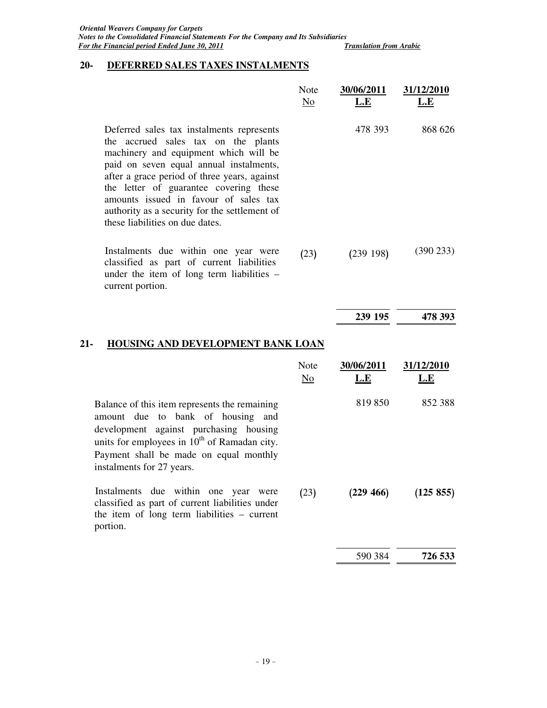## **20- DEFERRED SALES TAXES INSTALMENTS**

|                                                                                                                                                                                                                                                                                                                                                                                             | Note<br>N <sub>0</sub> | 30/06/2011<br>L.E        | 31/12/2010<br>L.E |
|---------------------------------------------------------------------------------------------------------------------------------------------------------------------------------------------------------------------------------------------------------------------------------------------------------------------------------------------------------------------------------------------|------------------------|--------------------------|-------------------|
| Deferred sales tax instalments represents<br>the accrued sales tax on the plants<br>machinery and equipment which will be<br>paid on seven equal annual instalments,<br>after a grace period of three years, against<br>the letter of guarantee covering these<br>amounts issued in favour of sales tax<br>authority as a security for the settlement of<br>these liabilities on due dates. |                        | 478 393                  | 868 626           |
| Instalments due within one year were<br>classified as part of current liabilities<br>under the item of long term liabilities -<br>current portion.                                                                                                                                                                                                                                          | (23)                   | (239198)                 | (390 233)         |
|                                                                                                                                                                                                                                                                                                                                                                                             |                        | 239 195                  | 478 393           |
| <b>HOUSING AND DEVELOPMENT BANK LOAN</b><br>21-                                                                                                                                                                                                                                                                                                                                             |                        |                          |                   |
|                                                                                                                                                                                                                                                                                                                                                                                             | Note<br>No             | 30/06/2011<br><u>L.E</u> | 31/12/2010<br>L.E |
| Balance of this item represents the remaining<br>amount due to bank of housing and<br>development against purchasing housing<br>units for employees in $10^{th}$ of Ramadan city.<br>Payment shall be made on equal monthly<br>instalments for 27 years.                                                                                                                                    |                        | 819 850                  | 852 388           |
| Instalments due within one year were<br>classified as part of current liabilities under<br>the item of long term liabilities - current<br>portion.                                                                                                                                                                                                                                          | (23)                   | (229 466)                | (125 855)         |
|                                                                                                                                                                                                                                                                                                                                                                                             |                        |                          | 726 533           |
|                                                                                                                                                                                                                                                                                                                                                                                             |                        | 590 384                  |                   |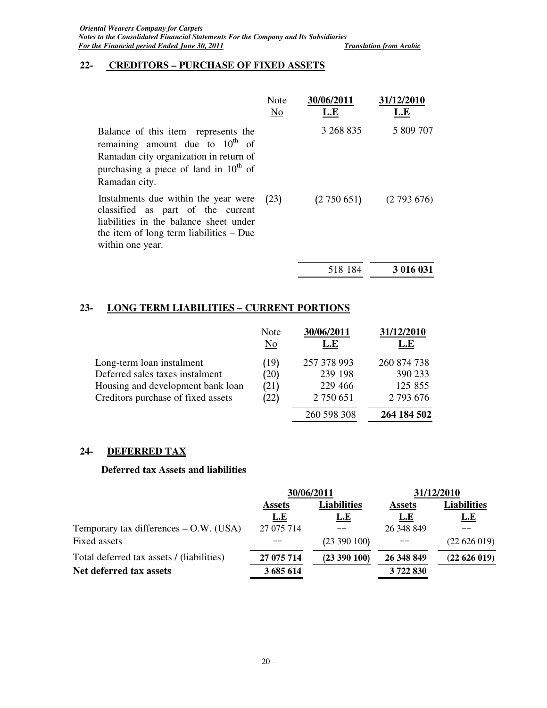### **22- CREDITORS – PURCHASE OF FIXED ASSETS**

|                                                                                                                                                                                      | Note<br>No | 30/06/2011<br>L.E | 31/12/2010<br>L.E |
|--------------------------------------------------------------------------------------------------------------------------------------------------------------------------------------|------------|-------------------|-------------------|
| Balance of this item represents the<br>remaining amount due to $10^{th}$ of<br>Ramadan city organization in return of<br>purchasing a piece of land in $10^{th}$ of<br>Ramadan city. |            | 3 268 835         | 5 809 707         |
| Instalments due within the year were<br>classified as part of the current<br>liabilities in the balance sheet under<br>the item of long term liabilities $-$ Due<br>within one year. | (23)       | (2750651)         | (2793676)         |
|                                                                                                                                                                                      |            | 518 184           | 3 016 031         |

### **23- LONG TERM LIABILITIES – CURRENT PORTIONS**

| Note<br>$\underline{\mathrm{No}}$ | 30/06/2011<br>L.E | 31/12/2010<br>L.E |
|-----------------------------------|-------------------|-------------------|
| (19)                              | 257 378 993       | 260 874 738       |
| (20)                              | 239 198           | 390 233           |
| (21)                              | 229 466           | 125 855           |
| (22)                              | 2 750 651         | 2 793 676         |
|                                   | 260 598 308       | 264 184 502       |
|                                   |                   |                   |

### **24- DEFERRED TAX**

### **Deferred tax Assets and liabilities**

|                                           |                                     | 30/06/2011   | 31/12/2010    |                    |  |
|-------------------------------------------|-------------------------------------|--------------|---------------|--------------------|--|
|                                           | <b>Liabilities</b><br><b>Assets</b> |              | <b>Assets</b> | <b>Liabilities</b> |  |
|                                           | <u>L.E</u>                          | <u>L.E</u>   | <u>L.E</u>    | <u>L.E</u>         |  |
| Temporary tax differences $-$ O.W. (USA)  | 27 075 714                          |              | 26 348 849    |                    |  |
| Fixed assets                              |                                     | (23 390 100) |               | (22626019)         |  |
| Total deferred tax assets / (liabilities) | 27 075 714                          | (23 390 100) | 26 348 849    | (22626019)         |  |
| Net deferred tax assets                   | 3 685 614                           |              | 3722830       |                    |  |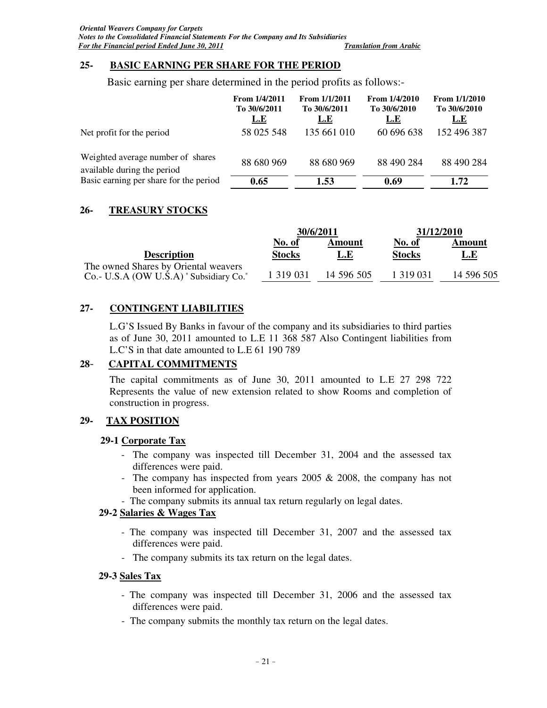### **25- BASIC EARNING PER SHARE FOR THE PERIOD**

Basic earning per share determined in the period profits as follows:-

|                                                                  | From $1/4/2011$<br>To 30/6/2011<br><u>L.E</u> | From $1/1/2011$<br>To 30/6/2011<br>L.E | From 1/4/2010<br>To 30/6/2010<br>L.E | From $1/1/2010$<br>To 30/6/2010<br>L.E |
|------------------------------------------------------------------|-----------------------------------------------|----------------------------------------|--------------------------------------|----------------------------------------|
| Net profit for the period                                        | 58 025 548                                    | 135 661 010                            | 60 696 638                           | 152 496 387                            |
| Weighted average number of shares<br>available during the period | 88 680 969                                    | 88 680 969                             | 88 490 284                           | 88 490 284                             |
| Basic earning per share for the period                           | 0.65                                          | 1.53                                   | 0.69                                 | 1.72                                   |

### **26- TREASURY STOCKS**

|                                                                                | 30/6/2011     |            | 31/12/2010    |            |
|--------------------------------------------------------------------------------|---------------|------------|---------------|------------|
|                                                                                | No. of        | Amount     | No. of        | Amount     |
| <b>Description</b>                                                             | <b>Stocks</b> | L.E        | <b>Stocks</b> | <u>L.E</u> |
| The owned Shares by Oriental weavers<br>Co.- U.S.A (OW U.S.A) "Subsidiary Co." | 1 3 1 9 0 3 1 | 14 596 505 | 1 319 031     | 14 596 505 |

### **27- CONTINGENT LIABILITIES**

L.G'S Issued By Banks in favour of the company and its subsidiaries to third parties as of June 30, 2011 amounted to L.E 11 368 587 Also Contingent liabilities from L.C'S in that date amounted to L.E 61 190 789

### **28**- **CAPITAL COMMITMENTS**

The capital commitments as of June 30, 2011 amounted to L.E 27 298 722 Represents the value of new extension related to show Rooms and completion of construction in progress.

### **29- TAX POSITION**

### **29-1 Corporate Tax**

- The company was inspected till December 31, 2004 and the assessed tax differences were paid.
- The company has inspected from years 2005 & 2008, the company has not been informed for application.
- The company submits its annual tax return regularly on legal dates.

### **29-2 Salaries & Wages Tax**

- The company was inspected till December 31, 2007 and the assessed tax differences were paid.
- The company submits its tax return on the legal dates.

### **29-3 Sales Tax**

- The company was inspected till December 31, 2006 and the assessed tax differences were paid.
- The company submits the monthly tax return on the legal dates.